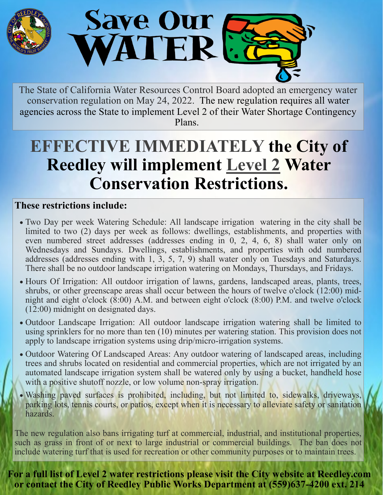

The State of California Water Resources Control Board adopted an emergency water conservation regulation on May 24, 2022. The new regulation requires all water agencies across the State to implement Level 2 of their Water Shortage Contingency Plans.

## **EFFECTIVE IMMEDIATELY the City of Reedley will implement Level 2 Water Conservation Restrictions.**

## **These restrictions include:**

- Two Day per week Watering Schedule: All landscape irrigation watering in the city shall be limited to two (2) days per week as follows: dwellings, establishments, and properties with even numbered street addresses (addresses ending in 0, 2, 4, 6, 8) shall water only on Wednesdays and Sundays. Dwellings, establishments, and properties with odd numbered addresses (addresses ending with 1, 3, 5, 7, 9) shall water only on Tuesdays and Saturdays. There shall be no outdoor landscape irrigation watering on Mondays, Thursdays, and Fridays.
- Hours Of Irrigation: All outdoor irrigation of lawns, gardens, landscaped areas, plants, trees, shrubs, or other greenscape areas shall occur between the hours of twelve o'clock (12:00) midnight and eight o'clock  $(\overline{8:00})$  A.M. and between eight o'clock  $(8:00)$  P.M. and twelve o'clock (12:00) midnight on designated days.
- Outdoor Landscape Irrigation: All outdoor landscape irrigation watering shall be limited to using sprinklers for no more than ten (10) minutes per watering station. This provision does not apply to landscape irrigation systems using drip/micro-irrigation systems.
- Outdoor Watering Of Landscaped Areas: Any outdoor watering of landscaped areas, including trees and shrubs located on residential and commercial properties, which are not irrigated by an automated landscape irrigation system shall be watered only by using a bucket, handheld hose with a positive shutoff nozzle, or low volume non-spray irrigation.
- Washing paved surfaces is prohibited, including, but not limited to, sidewalks, driveways, parking lots, tennis courts, or patios, except when it is necessary to alleviate safety or sanitation hazards.

The new regulation also bans irrigating turf at commercial, industrial, and institutional properties, such as grass in front of or next to large industrial or commercial buildings. The ban does not include watering turf that is used for recreation or other community purposes or to maintain trees.

**For a full list of Level 2 water restrictions please visit the City website at Reedley.com or contact the City of Reedley Public Works Department at (559)637-4200 ext. 214**